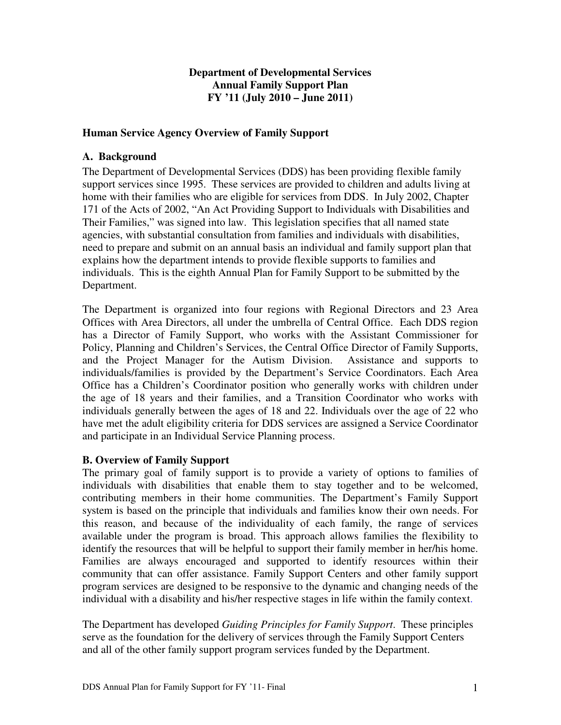# **Department of Developmental Services Annual Family Support Plan FY '11 (July 2010 – June 2011)**

## **Human Service Agency Overview of Family Support**

### **A. Background**

The Department of Developmental Services (DDS) has been providing flexible family support services since 1995. These services are provided to children and adults living at home with their families who are eligible for services from DDS. In July 2002, Chapter 171 of the Acts of 2002, "An Act Providing Support to Individuals with Disabilities and Their Families," was signed into law. This legislation specifies that all named state agencies, with substantial consultation from families and individuals with disabilities, need to prepare and submit on an annual basis an individual and family support plan that explains how the department intends to provide flexible supports to families and individuals. This is the eighth Annual Plan for Family Support to be submitted by the Department.

The Department is organized into four regions with Regional Directors and 23 Area Offices with Area Directors, all under the umbrella of Central Office. Each DDS region has a Director of Family Support, who works with the Assistant Commissioner for Policy, Planning and Children's Services, the Central Office Director of Family Supports, and the Project Manager for the Autism Division. Assistance and supports to individuals/families is provided by the Department's Service Coordinators. Each Area Office has a Children's Coordinator position who generally works with children under the age of 18 years and their families, and a Transition Coordinator who works with individuals generally between the ages of 18 and 22. Individuals over the age of 22 who have met the adult eligibility criteria for DDS services are assigned a Service Coordinator and participate in an Individual Service Planning process.

# **B. Overview of Family Support**

The primary goal of family support is to provide a variety of options to families of individuals with disabilities that enable them to stay together and to be welcomed, contributing members in their home communities. The Department's Family Support system is based on the principle that individuals and families know their own needs. For this reason, and because of the individuality of each family, the range of services available under the program is broad. This approach allows families the flexibility to identify the resources that will be helpful to support their family member in her/his home. Families are always encouraged and supported to identify resources within their community that can offer assistance. Family Support Centers and other family support program services are designed to be responsive to the dynamic and changing needs of the individual with a disability and his/her respective stages in life within the family context.

The Department has developed *Guiding Principles for Family Support*. These principles serve as the foundation for the delivery of services through the Family Support Centers and all of the other family support program services funded by the Department.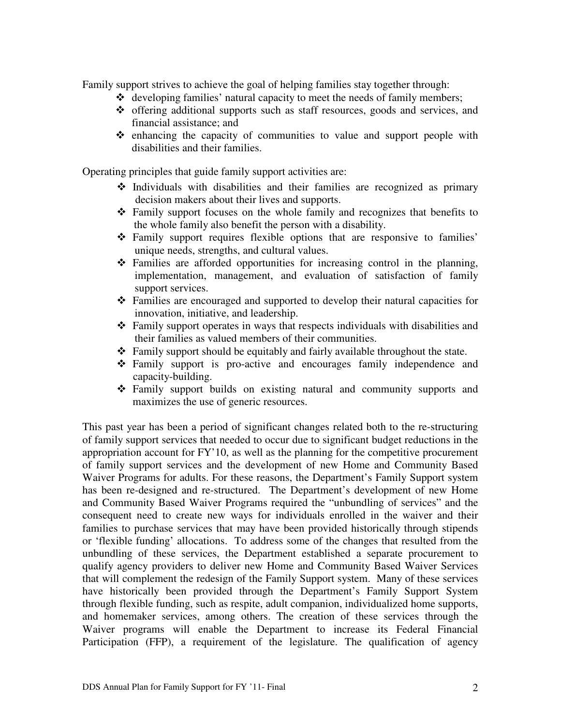Family support strives to achieve the goal of helping families stay together through:

- $\triangleleft$  developing families' natural capacity to meet the needs of family members;
- offering additional supports such as staff resources, goods and services, and financial assistance; and
- $\div$  enhancing the capacity of communities to value and support people with disabilities and their families.

Operating principles that guide family support activities are:

- $\cdot$  Individuals with disabilities and their families are recognized as primary decision makers about their lives and supports.
- Family support focuses on the whole family and recognizes that benefits to the whole family also benefit the person with a disability.
- Family support requires flexible options that are responsive to families' unique needs, strengths, and cultural values.
- Families are afforded opportunities for increasing control in the planning, implementation, management, and evaluation of satisfaction of family support services.
- Families are encouraged and supported to develop their natural capacities for innovation, initiative, and leadership.
- Family support operates in ways that respects individuals with disabilities and their families as valued members of their communities.
- Family support should be equitably and fairly available throughout the state.
- Family support is pro-active and encourages family independence and capacity-building.
- Family support builds on existing natural and community supports and maximizes the use of generic resources.

This past year has been a period of significant changes related both to the re-structuring of family support services that needed to occur due to significant budget reductions in the appropriation account for FY'10, as well as the planning for the competitive procurement of family support services and the development of new Home and Community Based Waiver Programs for adults. For these reasons, the Department's Family Support system has been re-designed and re-structured. The Department's development of new Home and Community Based Waiver Programs required the "unbundling of services" and the consequent need to create new ways for individuals enrolled in the waiver and their families to purchase services that may have been provided historically through stipends or 'flexible funding' allocations. To address some of the changes that resulted from the unbundling of these services, the Department established a separate procurement to qualify agency providers to deliver new Home and Community Based Waiver Services that will complement the redesign of the Family Support system. Many of these services have historically been provided through the Department's Family Support System through flexible funding, such as respite, adult companion, individualized home supports, and homemaker services, among others. The creation of these services through the Waiver programs will enable the Department to increase its Federal Financial Participation (FFP), a requirement of the legislature. The qualification of agency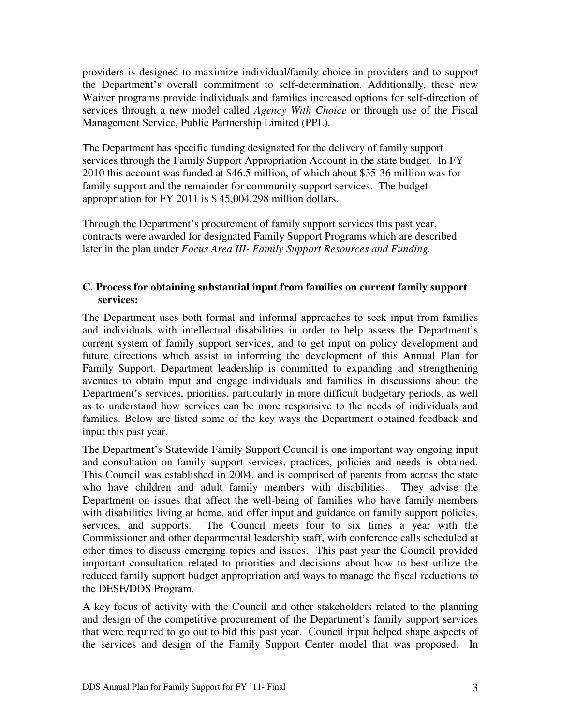providers is designed to maximize individual/family choice in providers and to support the Department's overall commitment to self-determination. Additionally, these new Waiver programs provide individuals and families increased options for self-direction of services through a new model called *Agency With Choice* or through use of the Fiscal Management Service, Public Partnership Limited (PPL).

The Department has specific funding designated for the delivery of family support services through the Family Support Appropriation Account in the state budget. In FY 2010 this account was funded at \$46.5 million, of which about \$35-36 million was for family support and the remainder for community support services. The budget appropriation for FY 2011 is \$ 45,004,298 million dollars.

Through the Department's procurement of family support services this past year, contracts were awarded for designated Family Support Programs which are described later in the plan under *Focus Area III- Family Support Resources and Funding.*

## **C. Process for obtaining substantial input from families on current family support services:**

The Department uses both formal and informal approaches to seek input from families and individuals with intellectual disabilities in order to help assess the Department's current system of family support services, and to get input on policy development and future directions which assist in informing the development of this Annual Plan for Family Support. Department leadership is committed to expanding and strengthening avenues to obtain input and engage individuals and families in discussions about the Department's services, priorities, particularly in more difficult budgetary periods, as well as to understand how services can be more responsive to the needs of individuals and families. Below are listed some of the key ways the Department obtained feedback and input this past year.

The Department's Statewide Family Support Council is one important way ongoing input and consultation on family support services, practices, policies and needs is obtained. This Council was established in 2004, and is comprised of parents from across the state who have children and adult family members with disabilities. They advise the Department on issues that affect the well-being of families who have family members with disabilities living at home, and offer input and guidance on family support policies, services, and supports. The Council meets four to six times a year with the Commissioner and other departmental leadership staff, with conference calls scheduled at other times to discuss emerging topics and issues. This past year the Council provided important consultation related to priorities and decisions about how to best utilize the reduced family support budget appropriation and ways to manage the fiscal reductions to the DESE/DDS Program.

A key focus of activity with the Council and other stakeholders related to the planning and design of the competitive procurement of the Department's family support services that were required to go out to bid this past year. Council input helped shape aspects of the services and design of the Family Support Center model that was proposed. In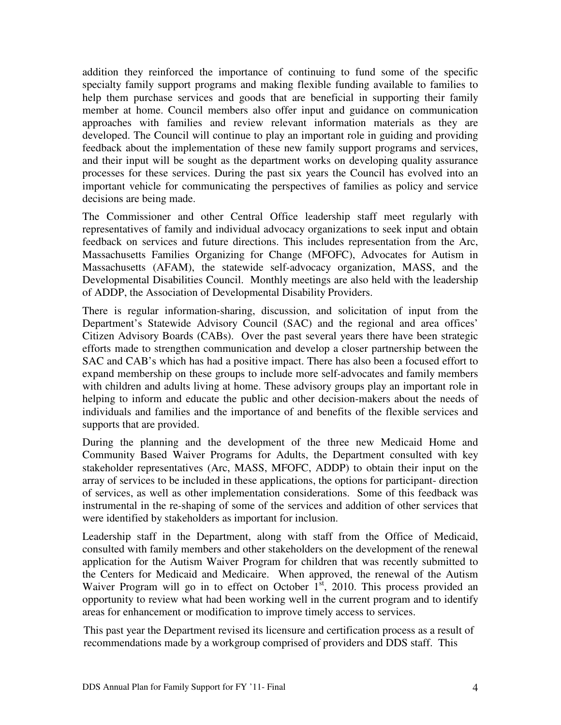addition they reinforced the importance of continuing to fund some of the specific specialty family support programs and making flexible funding available to families to help them purchase services and goods that are beneficial in supporting their family member at home. Council members also offer input and guidance on communication approaches with families and review relevant information materials as they are developed. The Council will continue to play an important role in guiding and providing feedback about the implementation of these new family support programs and services, and their input will be sought as the department works on developing quality assurance processes for these services. During the past six years the Council has evolved into an important vehicle for communicating the perspectives of families as policy and service decisions are being made.

The Commissioner and other Central Office leadership staff meet regularly with representatives of family and individual advocacy organizations to seek input and obtain feedback on services and future directions. This includes representation from the Arc, Massachusetts Families Organizing for Change (MFOFC), Advocates for Autism in Massachusetts (AFAM), the statewide self-advocacy organization, MASS, and the Developmental Disabilities Council. Monthly meetings are also held with the leadership of ADDP, the Association of Developmental Disability Providers.

There is regular information-sharing, discussion, and solicitation of input from the Department's Statewide Advisory Council (SAC) and the regional and area offices' Citizen Advisory Boards (CABs). Over the past several years there have been strategic efforts made to strengthen communication and develop a closer partnership between the SAC and CAB's which has had a positive impact. There has also been a focused effort to expand membership on these groups to include more self-advocates and family members with children and adults living at home. These advisory groups play an important role in helping to inform and educate the public and other decision-makers about the needs of individuals and families and the importance of and benefits of the flexible services and supports that are provided.

During the planning and the development of the three new Medicaid Home and Community Based Waiver Programs for Adults, the Department consulted with key stakeholder representatives (Arc, MASS, MFOFC, ADDP) to obtain their input on the array of services to be included in these applications, the options for participant- direction of services, as well as other implementation considerations. Some of this feedback was instrumental in the re-shaping of some of the services and addition of other services that were identified by stakeholders as important for inclusion.

Leadership staff in the Department, along with staff from the Office of Medicaid, consulted with family members and other stakeholders on the development of the renewal application for the Autism Waiver Program for children that was recently submitted to the Centers for Medicaid and Medicaire. When approved, the renewal of the Autism Waiver Program will go in to effect on October  $1<sup>st</sup>$ , 2010. This process provided an opportunity to review what had been working well in the current program and to identify areas for enhancement or modification to improve timely access to services.

This past year the Department revised its licensure and certification process as a result of recommendations made by a workgroup comprised of providers and DDS staff. This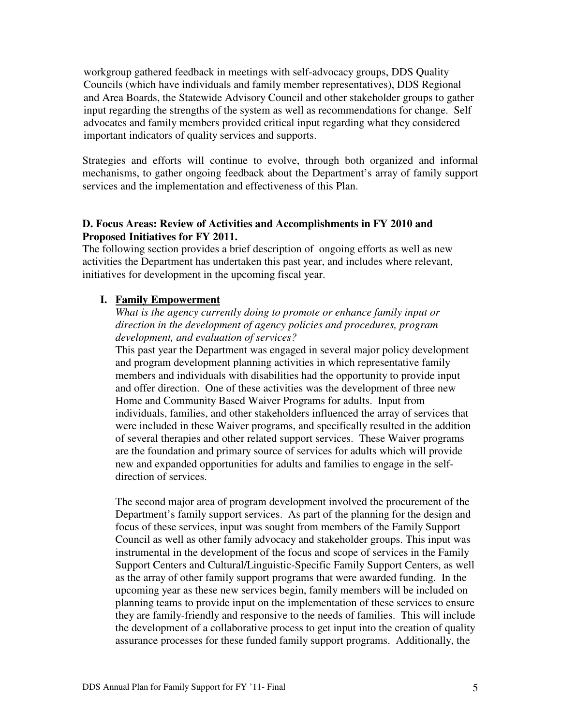workgroup gathered feedback in meetings with self-advocacy groups, DDS Quality Councils (which have individuals and family member representatives), DDS Regional and Area Boards, the Statewide Advisory Council and other stakeholder groups to gather input regarding the strengths of the system as well as recommendations for change. Self advocates and family members provided critical input regarding what they considered important indicators of quality services and supports.

Strategies and efforts will continue to evolve, through both organized and informal mechanisms, to gather ongoing feedback about the Department's array of family support services and the implementation and effectiveness of this Plan.

# **D. Focus Areas: Review of Activities and Accomplishments in FY 2010 and Proposed Initiatives for FY 2011.**

The following section provides a brief description of ongoing efforts as well as new activities the Department has undertaken this past year, and includes where relevant, initiatives for development in the upcoming fiscal year.

## **I. Family Empowerment**

# *What is the agency currently doing to promote or enhance family input or direction in the development of agency policies and procedures, program development, and evaluation of services?*

This past year the Department was engaged in several major policy development and program development planning activities in which representative family members and individuals with disabilities had the opportunity to provide input and offer direction. One of these activities was the development of three new Home and Community Based Waiver Programs for adults. Input from individuals, families, and other stakeholders influenced the array of services that were included in these Waiver programs, and specifically resulted in the addition of several therapies and other related support services. These Waiver programs are the foundation and primary source of services for adults which will provide new and expanded opportunities for adults and families to engage in the selfdirection of services.

The second major area of program development involved the procurement of the Department's family support services. As part of the planning for the design and focus of these services, input was sought from members of the Family Support Council as well as other family advocacy and stakeholder groups. This input was instrumental in the development of the focus and scope of services in the Family Support Centers and Cultural/Linguistic-Specific Family Support Centers, as well as the array of other family support programs that were awarded funding. In the upcoming year as these new services begin, family members will be included on planning teams to provide input on the implementation of these services to ensure they are family-friendly and responsive to the needs of families. This will include the development of a collaborative process to get input into the creation of quality assurance processes for these funded family support programs. Additionally, the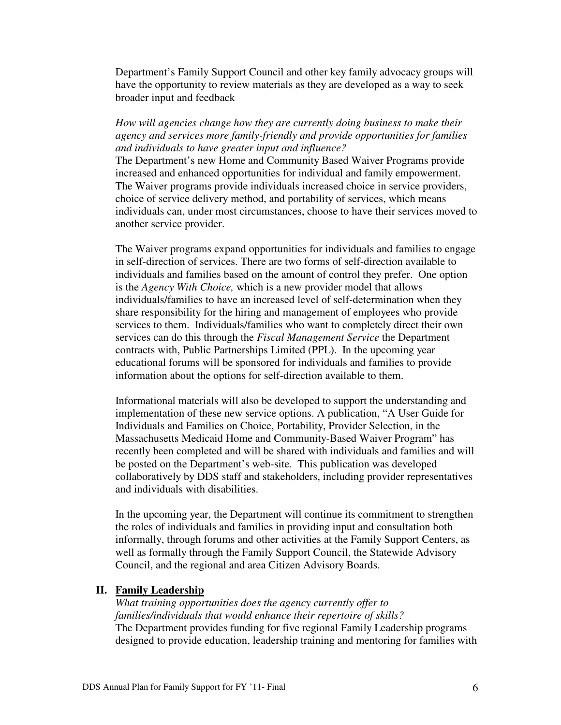Department's Family Support Council and other key family advocacy groups will have the opportunity to review materials as they are developed as a way to seek broader input and feedback

### *How will agencies change how they are currently doing business to make their agency and services more family-friendly and provide opportunities for families and individuals to have greater input and influence?*

The Department's new Home and Community Based Waiver Programs provide increased and enhanced opportunities for individual and family empowerment. The Waiver programs provide individuals increased choice in service providers, choice of service delivery method, and portability of services, which means individuals can, under most circumstances, choose to have their services moved to another service provider.

The Waiver programs expand opportunities for individuals and families to engage in self-direction of services. There are two forms of self-direction available to individuals and families based on the amount of control they prefer. One option is the *Agency With Choice,* which is a new provider model that allows individuals/families to have an increased level of self-determination when they share responsibility for the hiring and management of employees who provide services to them. Individuals/families who want to completely direct their own services can do this through the *Fiscal Management Service* the Department contracts with, Public Partnerships Limited (PPL). In the upcoming year educational forums will be sponsored for individuals and families to provide information about the options for self-direction available to them.

Informational materials will also be developed to support the understanding and implementation of these new service options. A publication, "A User Guide for Individuals and Families on Choice, Portability, Provider Selection, in the Massachusetts Medicaid Home and Community-Based Waiver Program" has recently been completed and will be shared with individuals and families and will be posted on the Department's web-site. This publication was developed collaboratively by DDS staff and stakeholders, including provider representatives and individuals with disabilities.

In the upcoming year, the Department will continue its commitment to strengthen the roles of individuals and families in providing input and consultation both informally, through forums and other activities at the Family Support Centers, as well as formally through the Family Support Council, the Statewide Advisory Council, and the regional and area Citizen Advisory Boards.

#### **II. Family Leadership**

*What training opportunities does the agency currently offer to families/individuals that would enhance their repertoire of skills?*  The Department provides funding for five regional Family Leadership programs designed to provide education, leadership training and mentoring for families with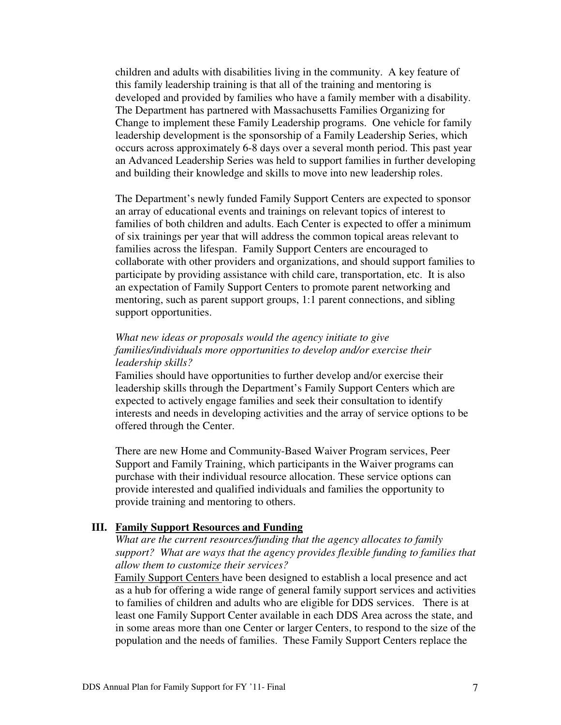children and adults with disabilities living in the community. A key feature of this family leadership training is that all of the training and mentoring is developed and provided by families who have a family member with a disability. The Department has partnered with Massachusetts Families Organizing for Change to implement these Family Leadership programs. One vehicle for family leadership development is the sponsorship of a Family Leadership Series, which occurs across approximately 6-8 days over a several month period. This past year an Advanced Leadership Series was held to support families in further developing and building their knowledge and skills to move into new leadership roles.

The Department's newly funded Family Support Centers are expected to sponsor an array of educational events and trainings on relevant topics of interest to families of both children and adults. Each Center is expected to offer a minimum of six trainings per year that will address the common topical areas relevant to families across the lifespan. Family Support Centers are encouraged to collaborate with other providers and organizations, and should support families to participate by providing assistance with child care, transportation, etc. It is also an expectation of Family Support Centers to promote parent networking and mentoring, such as parent support groups, 1:1 parent connections, and sibling support opportunities.

### *What new ideas or proposals would the agency initiate to give families/individuals more opportunities to develop and/or exercise their leadership skills?*

Families should have opportunities to further develop and/or exercise their leadership skills through the Department's Family Support Centers which are expected to actively engage families and seek their consultation to identify interests and needs in developing activities and the array of service options to be offered through the Center.

There are new Home and Community-Based Waiver Program services, Peer Support and Family Training, which participants in the Waiver programs can purchase with their individual resource allocation. These service options can provide interested and qualified individuals and families the opportunity to provide training and mentoring to others.

#### **III. Family Support Resources and Funding**

*What are the current resources/funding that the agency allocates to family support? What are ways that the agency provides flexible funding to families that allow them to customize their services?* 

Family Support Centers have been designed to establish a local presence and act as a hub for offering a wide range of general family support services and activities to families of children and adults who are eligible for DDS services. There is at least one Family Support Center available in each DDS Area across the state, and in some areas more than one Center or larger Centers, to respond to the size of the population and the needs of families. These Family Support Centers replace the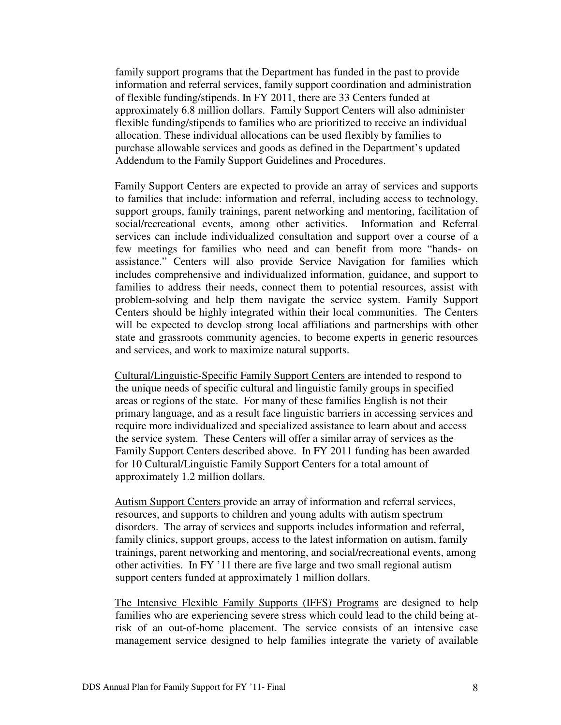family support programs that the Department has funded in the past to provide information and referral services, family support coordination and administration of flexible funding/stipends. In FY 2011, there are 33 Centers funded at approximately 6.8 million dollars. Family Support Centers will also administer flexible funding/stipends to families who are prioritized to receive an individual allocation. These individual allocations can be used flexibly by families to purchase allowable services and goods as defined in the Department's updated Addendum to the Family Support Guidelines and Procedures.

Family Support Centers are expected to provide an array of services and supports to families that include: information and referral, including access to technology, support groups, family trainings, parent networking and mentoring, facilitation of social/recreational events, among other activities. Information and Referral services can include individualized consultation and support over a course of a few meetings for families who need and can benefit from more "hands- on assistance." Centers will also provide Service Navigation for families which includes comprehensive and individualized information, guidance, and support to families to address their needs, connect them to potential resources, assist with problem-solving and help them navigate the service system. Family Support Centers should be highly integrated within their local communities. The Centers will be expected to develop strong local affiliations and partnerships with other state and grassroots community agencies, to become experts in generic resources and services, and work to maximize natural supports.

Cultural/Linguistic-Specific Family Support Centers are intended to respond to the unique needs of specific cultural and linguistic family groups in specified areas or regions of the state. For many of these families English is not their primary language, and as a result face linguistic barriers in accessing services and require more individualized and specialized assistance to learn about and access the service system. These Centers will offer a similar array of services as the Family Support Centers described above. In FY 2011 funding has been awarded for 10 Cultural/Linguistic Family Support Centers for a total amount of approximately 1.2 million dollars.

Autism Support Centers provide an array of information and referral services, resources, and supports to children and young adults with autism spectrum disorders. The array of services and supports includes information and referral, family clinics, support groups, access to the latest information on autism, family trainings, parent networking and mentoring, and social/recreational events, among other activities. In FY '11 there are five large and two small regional autism support centers funded at approximately 1 million dollars.

The Intensive Flexible Family Supports (IFFS) Programs are designed to help families who are experiencing severe stress which could lead to the child being atrisk of an out-of-home placement. The service consists of an intensive case management service designed to help families integrate the variety of available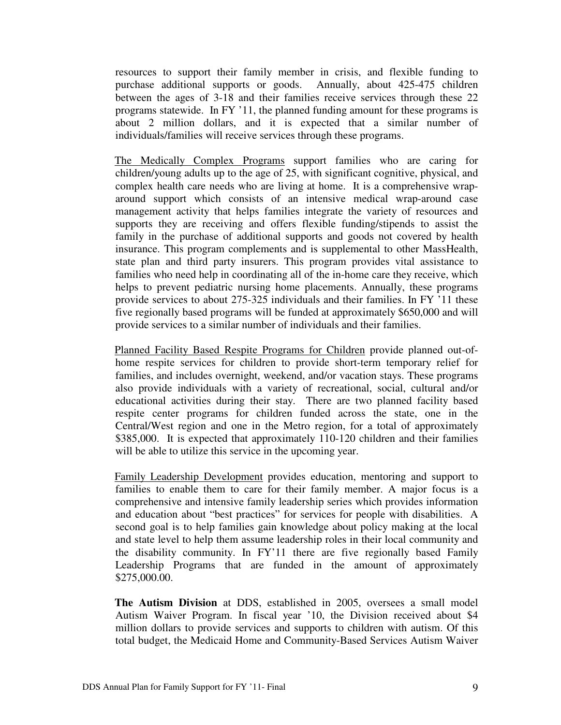resources to support their family member in crisis, and flexible funding to purchase additional supports or goods. Annually, about 425-475 children between the ages of 3-18 and their families receive services through these 22 programs statewide. In FY '11, the planned funding amount for these programs is about 2 million dollars, and it is expected that a similar number of individuals/families will receive services through these programs.

The Medically Complex Programs support families who are caring for children/young adults up to the age of 25, with significant cognitive, physical, and complex health care needs who are living at home. It is a comprehensive wraparound support which consists of an intensive medical wrap-around case management activity that helps families integrate the variety of resources and supports they are receiving and offers flexible funding/stipends to assist the family in the purchase of additional supports and goods not covered by health insurance. This program complements and is supplemental to other MassHealth, state plan and third party insurers. This program provides vital assistance to families who need help in coordinating all of the in-home care they receive, which helps to prevent pediatric nursing home placements. Annually, these programs provide services to about 275-325 individuals and their families. In FY '11 these five regionally based programs will be funded at approximately \$650,000 and will provide services to a similar number of individuals and their families.

Planned Facility Based Respite Programs for Children provide planned out-ofhome respite services for children to provide short-term temporary relief for families, and includes overnight, weekend, and/or vacation stays. These programs also provide individuals with a variety of recreational, social, cultural and/or educational activities during their stay. There are two planned facility based respite center programs for children funded across the state, one in the Central/West region and one in the Metro region, for a total of approximately \$385,000. It is expected that approximately 110-120 children and their families will be able to utilize this service in the upcoming year.

Family Leadership Development provides education, mentoring and support to families to enable them to care for their family member. A major focus is a comprehensive and intensive family leadership series which provides information and education about "best practices" for services for people with disabilities. A second goal is to help families gain knowledge about policy making at the local and state level to help them assume leadership roles in their local community and the disability community. In FY'11 there are five regionally based Family Leadership Programs that are funded in the amount of approximately \$275,000.00.

**The Autism Division** at DDS, established in 2005, oversees a small model Autism Waiver Program. In fiscal year '10, the Division received about \$4 million dollars to provide services and supports to children with autism. Of this total budget, the Medicaid Home and Community-Based Services Autism Waiver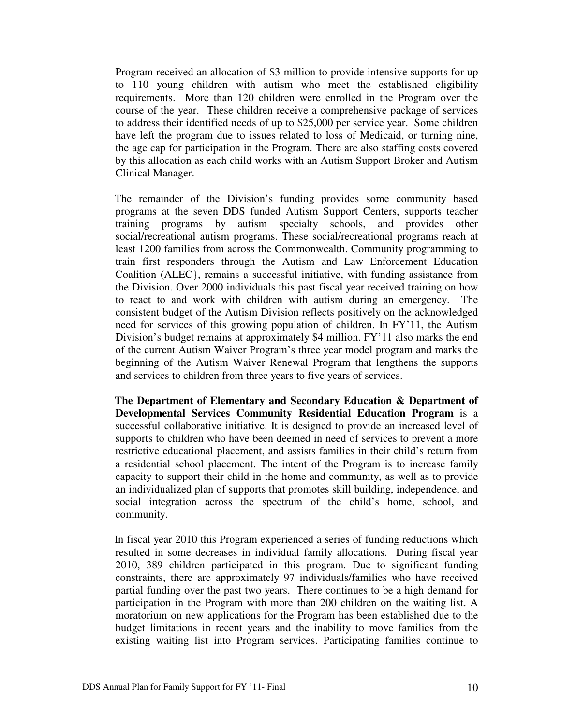Program received an allocation of \$3 million to provide intensive supports for up to 110 young children with autism who meet the established eligibility requirements. More than 120 children were enrolled in the Program over the course of the year. These children receive a comprehensive package of services to address their identified needs of up to \$25,000 per service year. Some children have left the program due to issues related to loss of Medicaid, or turning nine, the age cap for participation in the Program. There are also staffing costs covered by this allocation as each child works with an Autism Support Broker and Autism Clinical Manager.

The remainder of the Division's funding provides some community based programs at the seven DDS funded Autism Support Centers, supports teacher training programs by autism specialty schools, and provides other social/recreational autism programs. These social/recreational programs reach at least 1200 families from across the Commonwealth. Community programming to train first responders through the Autism and Law Enforcement Education Coalition (ALEC}, remains a successful initiative, with funding assistance from the Division. Over 2000 individuals this past fiscal year received training on how to react to and work with children with autism during an emergency. The consistent budget of the Autism Division reflects positively on the acknowledged need for services of this growing population of children. In FY'11, the Autism Division's budget remains at approximately \$4 million. FY'11 also marks the end of the current Autism Waiver Program's three year model program and marks the beginning of the Autism Waiver Renewal Program that lengthens the supports and services to children from three years to five years of services.

**The Department of Elementary and Secondary Education & Department of Developmental Services Community Residential Education Program** is a successful collaborative initiative. It is designed to provide an increased level of supports to children who have been deemed in need of services to prevent a more restrictive educational placement, and assists families in their child's return from a residential school placement. The intent of the Program is to increase family capacity to support their child in the home and community, as well as to provide an individualized plan of supports that promotes skill building, independence, and social integration across the spectrum of the child's home, school, and community.

In fiscal year 2010 this Program experienced a series of funding reductions which resulted in some decreases in individual family allocations. During fiscal year 2010, 389 children participated in this program. Due to significant funding constraints, there are approximately 97 individuals/families who have received partial funding over the past two years. There continues to be a high demand for participation in the Program with more than 200 children on the waiting list. A moratorium on new applications for the Program has been established due to the budget limitations in recent years and the inability to move families from the existing waiting list into Program services. Participating families continue to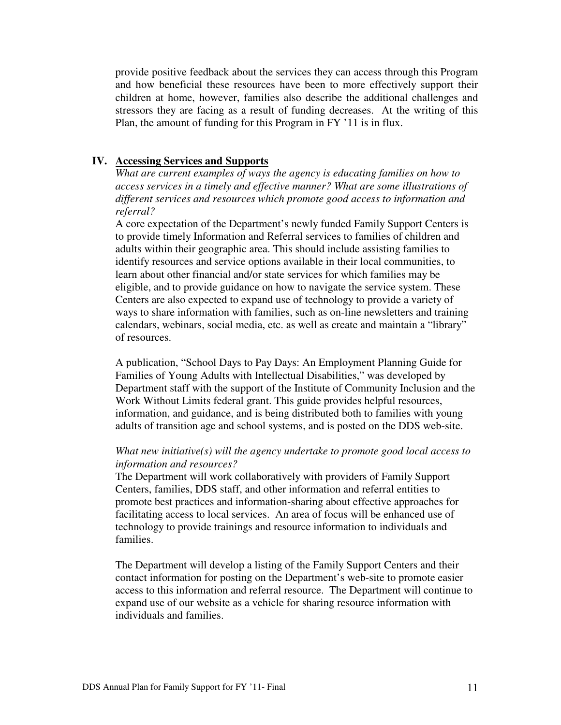provide positive feedback about the services they can access through this Program and how beneficial these resources have been to more effectively support their children at home, however, families also describe the additional challenges and stressors they are facing as a result of funding decreases. At the writing of this Plan, the amount of funding for this Program in FY '11 is in flux.

## **IV. Accessing Services and Supports**

*What are current examples of ways the agency is educating families on how to access services in a timely and effective manner? What are some illustrations of different services and resources which promote good access to information and referral?* 

A core expectation of the Department's newly funded Family Support Centers is to provide timely Information and Referral services to families of children and adults within their geographic area. This should include assisting families to identify resources and service options available in their local communities, to learn about other financial and/or state services for which families may be eligible, and to provide guidance on how to navigate the service system. These Centers are also expected to expand use of technology to provide a variety of ways to share information with families, such as on-line newsletters and training calendars, webinars, social media, etc. as well as create and maintain a "library" of resources.

A publication, "School Days to Pay Days: An Employment Planning Guide for Families of Young Adults with Intellectual Disabilities," was developed by Department staff with the support of the Institute of Community Inclusion and the Work Without Limits federal grant. This guide provides helpful resources, information, and guidance, and is being distributed both to families with young adults of transition age and school systems, and is posted on the DDS web-site.

#### *What new initiative(s) will the agency undertake to promote good local access to information and resources?*

The Department will work collaboratively with providers of Family Support Centers, families, DDS staff, and other information and referral entities to promote best practices and information-sharing about effective approaches for facilitating access to local services. An area of focus will be enhanced use of technology to provide trainings and resource information to individuals and families.

The Department will develop a listing of the Family Support Centers and their contact information for posting on the Department's web-site to promote easier access to this information and referral resource. The Department will continue to expand use of our website as a vehicle for sharing resource information with individuals and families.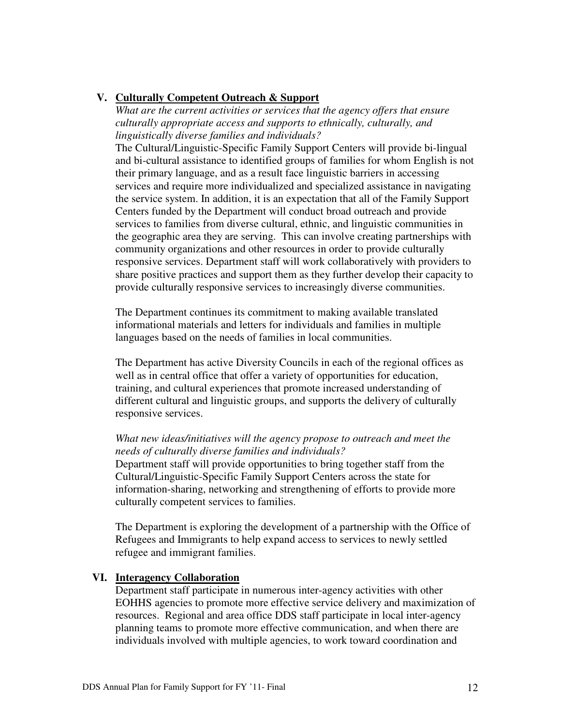## **V. Culturally Competent Outreach & Support**

*What are the current activities or services that the agency offers that ensure culturally appropriate access and supports to ethnically, culturally, and linguistically diverse families and individuals?* 

The Cultural/Linguistic-Specific Family Support Centers will provide bi-lingual and bi-cultural assistance to identified groups of families for whom English is not their primary language, and as a result face linguistic barriers in accessing services and require more individualized and specialized assistance in navigating the service system. In addition, it is an expectation that all of the Family Support Centers funded by the Department will conduct broad outreach and provide services to families from diverse cultural, ethnic, and linguistic communities in the geographic area they are serving. This can involve creating partnerships with community organizations and other resources in order to provide culturally responsive services. Department staff will work collaboratively with providers to share positive practices and support them as they further develop their capacity to provide culturally responsive services to increasingly diverse communities.

The Department continues its commitment to making available translated informational materials and letters for individuals and families in multiple languages based on the needs of families in local communities.

The Department has active Diversity Councils in each of the regional offices as well as in central office that offer a variety of opportunities for education, training, and cultural experiences that promote increased understanding of different cultural and linguistic groups, and supports the delivery of culturally responsive services.

# *What new ideas/initiatives will the agency propose to outreach and meet the needs of culturally diverse families and individuals?*

Department staff will provide opportunities to bring together staff from the Cultural/Linguistic-Specific Family Support Centers across the state for information-sharing, networking and strengthening of efforts to provide more culturally competent services to families.

The Department is exploring the development of a partnership with the Office of Refugees and Immigrants to help expand access to services to newly settled refugee and immigrant families.

### **VI. Interagency Collaboration**

Department staff participate in numerous inter-agency activities with other EOHHS agencies to promote more effective service delivery and maximization of resources. Regional and area office DDS staff participate in local inter-agency planning teams to promote more effective communication, and when there are individuals involved with multiple agencies, to work toward coordination and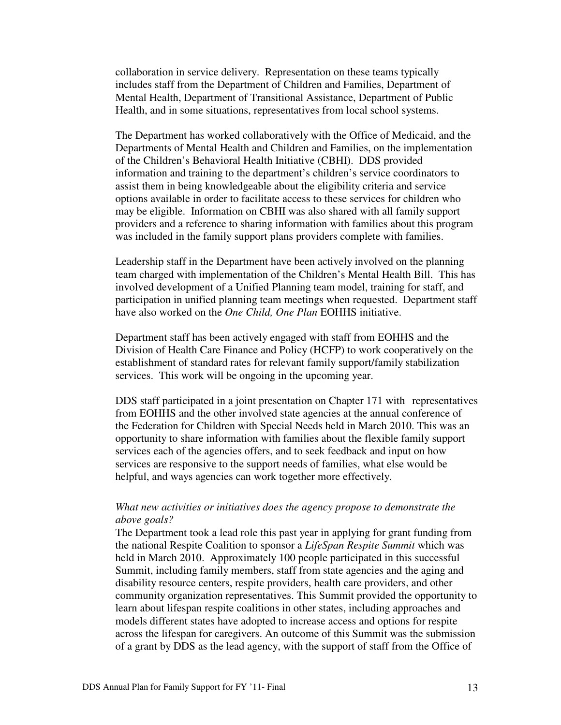collaboration in service delivery. Representation on these teams typically includes staff from the Department of Children and Families, Department of Mental Health, Department of Transitional Assistance, Department of Public Health, and in some situations, representatives from local school systems.

The Department has worked collaboratively with the Office of Medicaid, and the Departments of Mental Health and Children and Families, on the implementation of the Children's Behavioral Health Initiative (CBHI). DDS provided information and training to the department's children's service coordinators to assist them in being knowledgeable about the eligibility criteria and service options available in order to facilitate access to these services for children who may be eligible. Information on CBHI was also shared with all family support providers and a reference to sharing information with families about this program was included in the family support plans providers complete with families.

Leadership staff in the Department have been actively involved on the planning team charged with implementation of the Children's Mental Health Bill. This has involved development of a Unified Planning team model, training for staff, and participation in unified planning team meetings when requested. Department staff have also worked on the *One Child, One Plan* EOHHS initiative.

Department staff has been actively engaged with staff from EOHHS and the Division of Health Care Finance and Policy (HCFP) to work cooperatively on the establishment of standard rates for relevant family support/family stabilization services. This work will be ongoing in the upcoming year.

 DDS staff participated in a joint presentation on Chapter 171 with representatives from EOHHS and the other involved state agencies at the annual conference of the Federation for Children with Special Needs held in March 2010. This was an opportunity to share information with families about the flexible family support services each of the agencies offers, and to seek feedback and input on how services are responsive to the support needs of families, what else would be helpful, and ways agencies can work together more effectively.

#### *What new activities or initiatives does the agency propose to demonstrate the above goals?*

The Department took a lead role this past year in applying for grant funding from the national Respite Coalition to sponsor a *LifeSpan Respite Summit* which was held in March 2010. Approximately 100 people participated in this successful Summit, including family members, staff from state agencies and the aging and disability resource centers, respite providers, health care providers, and other community organization representatives. This Summit provided the opportunity to learn about lifespan respite coalitions in other states, including approaches and models different states have adopted to increase access and options for respite across the lifespan for caregivers. An outcome of this Summit was the submission of a grant by DDS as the lead agency, with the support of staff from the Office of